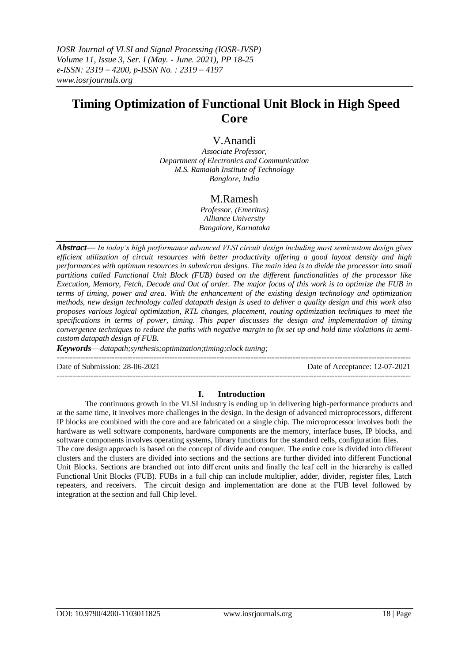*IOSR Journal of VLSI and Signal Processing (IOSR-JVSP) Volume 11, Issue 3, Ser. I (May. - June. 2021), PP 18-25 e-ISSN: 2319 – 4200, p-ISSN No. : 2319 – 4197 www.iosrjournals.org*

# **Timing Optimization of Functional Unit Block in High Speed Core**

# V.Anandi

*Associate Professor, Department of Electronics and Communication M.S. Ramaiah Institute of Technology Banglore, India*

# M.Ramesh

*Professor, (Emeritus) Alliance University Bangalore, Karnataka*

*Abstract— In today's high performance advanced VLSI circuit design including most semicustom design gives efficient utilization of circuit resources with better productivity offering a good layout density and high performances with optimum resources in submicron designs. The main idea is to divide the processor into small partitions called Functional Unit Block (FUB) based on the different functionalities of the processor like Execution, Memory, Fetch, Decode and Out of order. The major focus of this work is to optimize the FUB in terms of timing, power and area. With the enhancement of the existing design technology and optimization methods, new design technology called datapath design is used to deliver a quality design and this work also proposes various logical optimization, RTL changes, placement, routing optimization techniques to meet the specifications in terms of power, timing. This paper discusses the design and implementation of timing convergence techniques to reduce the paths with negative margin to fix set up and hold time violations in semicustom datapath design of FUB.* 

*Keywords—datapath;synthesis;optimization;timing;clock tuning;*

---------------------------------------------------------------------------------------------------------------------------------------

Date of Submission: 28-06-2021 Date of Acceptance: 12-07-2021

## **I. Introduction**

---------------------------------------------------------------------------------------------------------------------------------------

The continuous growth in the VLSI industry is ending up in delivering high-performance products and at the same time, it involves more challenges in the design. In the design of advanced microprocessors, different IP blocks are combined with the core and are fabricated on a single chip. The microprocessor involves both the hardware as well software components, hardware components are the memory, interface buses, IP blocks, and software components involves operating systems, library functions for the standard cells, configuration files. The core design approach is based on the concept of divide and conquer. The entire core is divided into different clusters and the clusters are divided into sections and the sections are further divided into different Functional Unit Blocks. Sections are branched out into diff erent units and finally the leaf cell in the hierarchy is called Functional Unit Blocks (FUB). FUBs in a full chip can include multiplier, adder, divider, register files, Latch repeaters, and receivers. The circuit design and implementation are done at the FUB level followed by integration at the section and full Chip level.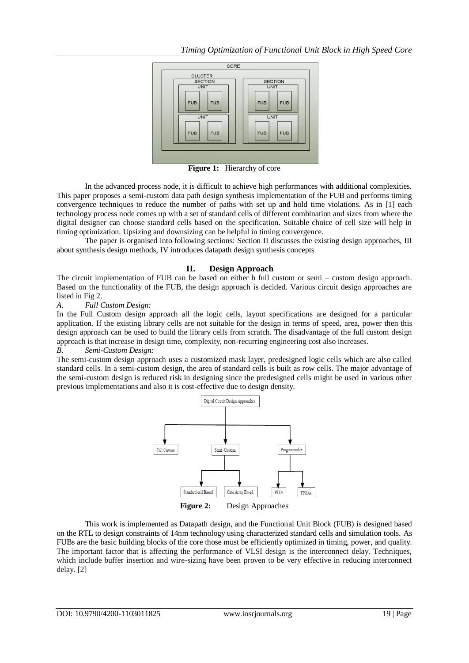

**Figure 1:** Hierarchy of core

In the advanced process node, it is difficult to achieve high performances with additional complexities. This paper proposes a semi-custom data path design synthesis implementation of the FUB and performs timing convergence techniques to reduce the number of paths with set up and hold time violations. As in [1] each technology process node comes up with a set of standard cells of different combination and sizes from where the digital designer can choose standard cells based on the specification. Suitable choice of cell size will help in timing optimization. Upsizing and downsizing can be helpful in timing convergence.

The paper is organised into following sections: Section II discusses the existing design approaches, III about synthesis design methods, IV introduces datapath design synthesis concepts

## **II. Design Approach**

The circuit implementation of FUB can be based on either h full custom or semi – custom design approach. Based on the functionality of the FUB, the design approach is decided. Various circuit design approaches are listed in Fig 2.

#### *A. Full Custom Design:*

In the Full Custom design approach all the logic cells, layout specifications are designed for a particular application. If the existing library cells are not suitable for the design in terms of speed, area, power then this design approach can be used to build the library cells from scratch. The disadvantage of the full custom design approach is that increase in design time, complexity, non-recurring engineering cost also increases.

## *B. Semi-Custom Design:*

The semi-custom design approach uses a customized mask layer, predesigned logic cells which are also called standard cells. In a semi-custom design, the area of standard cells is built as row cells. The major advantage of the semi-custom design is reduced risk in designing since the predesigned cells might be used in various other previous implementations and also it is cost-effective due to design density.



This work is implemented as Datapath design, and the Functional Unit Block (FUB) is designed based on the RTL to design constraints of 14nm technology using characterized standard cells and simulation tools. As FUBs are the basic building blocks of the core those must be efficiently optimized in timing, power, and quality. The important factor that is affecting the performance of VLSI design is the interconnect delay. Techniques, which include buffer insertion and wire-sizing have been proven to be very effective in reducing interconnect delay. [2]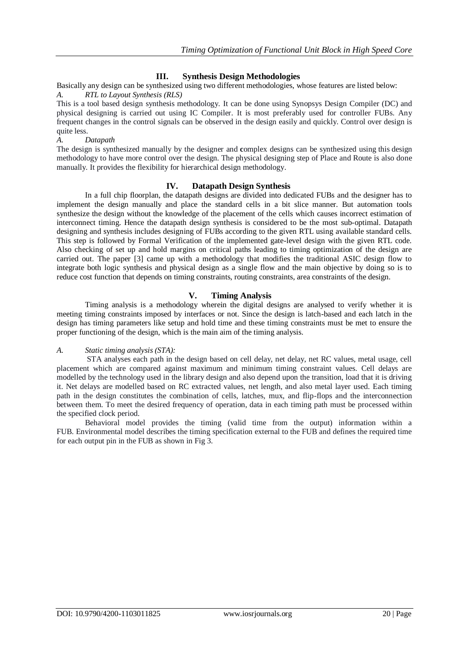# **III. Synthesis Design Methodologies**

Basically any design can be synthesized using two different methodologies, whose features are listed below: *A. RTL to Layout Synthesis (RLS)*

This is a tool based design synthesis methodology. It can be done using Synopsys Design Compiler (DC) and physical designing is carried out using IC Compiler. It is most preferably used for controller FUBs. Any frequent changes in the control signals can be observed in the design easily and quickly. Control over design is quite less.

#### *A. Datapath*

The design is synthesized manually by the designer and **c**omplex designs can be synthesized using this design methodology to have more control over the design. The physical designing step of Place and Route is also done manually. It provides the flexibility for hierarchical design methodology.

## **IV. Datapath Design Synthesis**

In a full chip floorplan, the datapath designs are divided into dedicated FUBs and the designer has to implement the design manually and place the standard cells in a bit slice manner. But automation tools synthesize the design without the knowledge of the placement of the cells which causes incorrect estimation of interconnect timing. Hence the datapath design synthesis is considered to be the most sub-optimal. Datapath designing and synthesis includes designing of FUBs according to the given RTL using available standard cells. This step is followed by Formal Verification of the implemented gate-level design with the given RTL code. Also checking of set up and hold margins on critical paths leading to timing optimization of the design are carried out. The paper [3] came up with a methodology that modifies the traditional ASIC design flow to integrate both logic synthesis and physical design as a single flow and the main objective by doing so is to reduce cost function that depends on timing constraints, routing constraints, area constraints of the design.

## **V. Timing Analysis**

Timing analysis is a methodology wherein the digital designs are analysed to verify whether it is meeting timing constraints imposed by interfaces or not. Since the design is latch-based and each latch in the design has timing parameters like setup and hold time and these timing constraints must be met to ensure the proper functioning of the design, which is the main aim of the timing analysis.

#### *A. Static timing analysis (STA):*

STA analyses each path in the design based on cell delay, net delay, net RC values, metal usage, cell placement which are compared against maximum and minimum timing constraint values. Cell delays are modelled by the technology used in the library design and also depend upon the transition, load that it is driving it. Net delays are modelled based on RC extracted values, net length, and also metal layer used. Each timing path in the design constitutes the combination of cells, latches, mux, and flip-flops and the interconnection between them. To meet the desired frequency of operation, data in each timing path must be processed within the specified clock period.

Behavioral model provides the timing (valid time from the output) information within a FUB. Environmental model describes the timing specification external to the FUB and defines the required time for each output pin in the FUB as shown in Fig 3.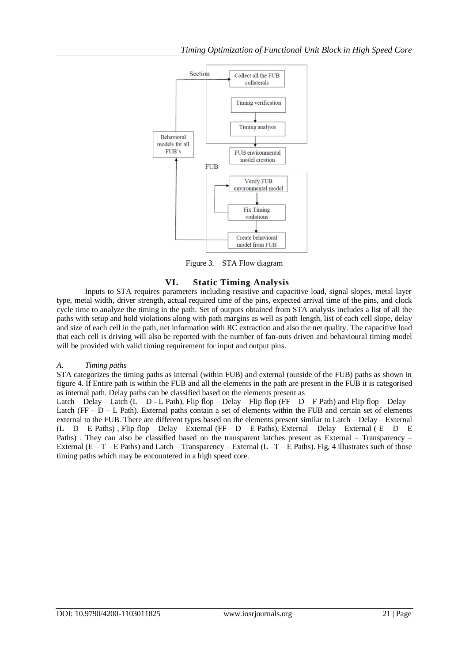

Figure 3. STA Flow diagram

# **VI. Static Timing Analysis**

Inputs to STA requires parameters including resistive and capacitive load, signal slopes, metal layer type, metal width, driver strength, actual required time of the pins, expected arrival time of the pins, and clock cycle time to analyze the timing in the path. Set of outputs obtained from STA analysis includes a list of all the paths with setup and hold violations along with path margins as well as path length, list of each cell slope, delay and size of each cell in the path, net information with RC extraction and also the net quality. The capacitive load that each cell is driving will also be reported with the number of fan-outs driven and behavioural timing model will be provided with valid timing requirement for input and output pins.

## *A. Timing paths*

STA categorizes the timing paths as internal (within FUB) and external (outside of the FUB) paths as shown in figure 4. If Entire path is within the FUB and all the elements in the path are present in the FUB it is categorised as internal path. Delay paths can be classified based on the elements present as

Latch – Delay – Latch (L – D - L Path), Flip flop – Delay – Flip flop (FF – D – F Path) and Flip flop – Delay – Latch ( $FF - D - L$  Path). External paths contain a set of elements within the FUB and certain set of elements external to the FUB. There are different types based on the elements present similar to Latch – Delay – External  $(L - D - E$  Paths), Flip flop – Delay – External (FF – D – E Paths), External – Delay – External ( $E - D - E$ Paths) . They can also be classified based on the transparent latches present as External – Transparency – External ( $E - T - E$  Paths) and Latch – Transparency – External ( $L - T - E$  Paths). Fig, 4 illustrates such of those timing paths which may be encountered in a high speed core.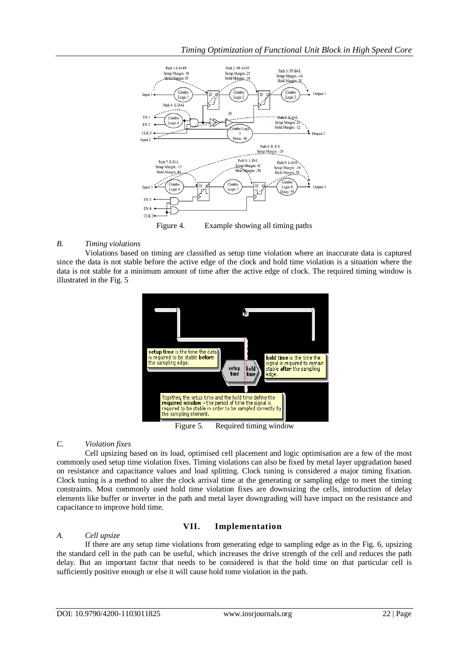

Figure 4. Example showing all timing paths

## *B. Timing violations*

Violations based on timing are classified as setup time violation where an inaccurate data is captured since the data is not stable before the active edge of the clock and hold time violation is a situation where the data is not stable for a minimum amount of time after the active edge of clock. The required timing window is illustrated in the Fig. 5



Figure 5. Required timing window

# *C. Violation fixes*

Cell upsizing based on its load, optimised cell placement and logic optimisation are a few of the most commonly used setup time violation fixes. Timing violations can also be fixed by metal layer upgradation based on resistance and capacitance values and load splitting. Clock tuning is considered a major timing fixation. Clock tuning is a method to alter the clock arrival time at the generating or sampling edge to meet the timing constraints. Most commonly used hold time violation fixes are downsizing the cells, introduction of delay elements like buffer or inverter in the path and metal layer downgrading will have impact on the resistance and capacitance to improve hold time.

# **VII. Implementation**

## *A. Cell upsize*

If there are any setup time violations from generating edge to sampling edge as in the Fig. 6, upsizing the standard cell in the path can be useful, which increases the drive strength of the cell and reduces the path delay. But an important factor that needs to be considered is that the hold time on that particular cell is sufficiently positive enough or else it will cause hold tome violation in the path.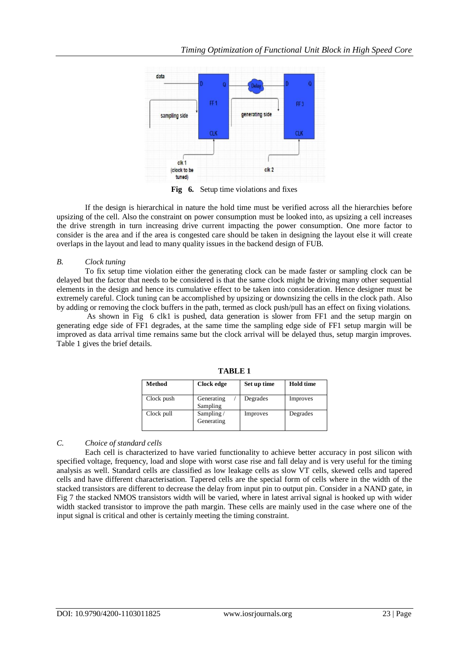

Fig 6. Setup time violations and fixes

If the design is hierarchical in nature the hold time must be verified across all the hierarchies before upsizing of the cell. Also the constraint on power consumption must be looked into, as upsizing a cell increases the drive strength in turn increasing drive current impacting the power consumption. One more factor to consider is the area and if the area is congested care should be taken in designing the layout else it will create overlaps in the layout and lead to many quality issues in the backend design of FUB.

## *B. Clock tuning*

To fix setup time violation either the generating clock can be made faster or sampling clock can be delayed but the factor that needs to be considered is that the same clock might be driving many other sequential elements in the design and hence its cumulative effect to be taken into consideration. Hence designer must be extremely careful. Clock tuning can be accomplished by upsizing or downsizing the cells in the clock path. Also by adding or removing the clock buffers in the path, termed as clock push/pull has an effect on fixing violations.

As shown in Fig 6 clk1 is pushed, data generation is slower from FF1 and the setup margin on generating edge side of FF1 degrades, at the same time the sampling edge side of FF1 setup margin will be improved as data arrival time remains same but the clock arrival will be delayed thus, setup margin improves. Table 1 gives the brief details.

| Method     | Clock edge              | Set up time | <b>Hold time</b> |
|------------|-------------------------|-------------|------------------|
| Clock push | Generating<br>Sampling  | Degrades    | Improves         |
| Clock pull | Sampling/<br>Generating | Improves    | Degrades         |

**TABLE 1**

## *C. Choice of standard cells*

Each cell is characterized to have varied functionality to achieve better accuracy in post silicon with specified voltage, frequency, load and slope with worst case rise and fall delay and is very useful for the timing analysis as well. Standard cells are classified as low leakage cells as slow VT cells, skewed cells and tapered cells and have different characterisation. Tapered cells are the special form of cells where in the width of the stacked transistors are different to decrease the delay from input pin to output pin. Consider in a NAND gate, in Fig 7 the stacked NMOS transistors width will be varied, where in latest arrival signal is hooked up with wider width stacked transistor to improve the path margin. These cells are mainly used in the case where one of the input signal is critical and other is certainly meeting the timing constraint.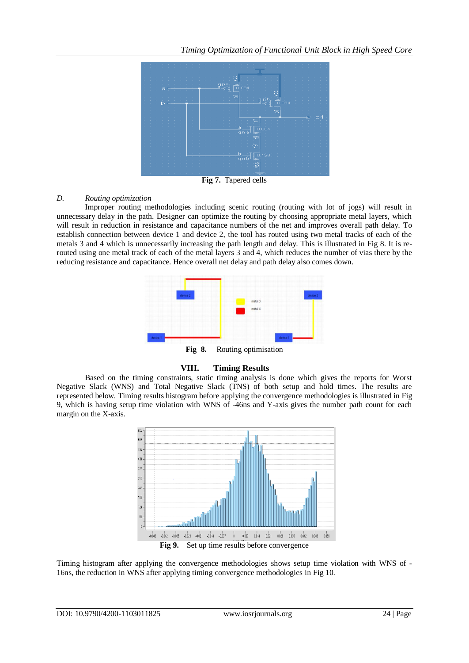

**Fig 7.** Tapered cells

## *D. Routing optimization*

Improper routing methodologies including scenic routing (routing with lot of jogs) will result in unnecessary delay in the path. Designer can optimize the routing by choosing appropriate metal layers, which will result in reduction in resistance and capacitance numbers of the net and improves overall path delay. To establish connection between device 1 and device 2, the tool has routed using two metal tracks of each of the metals 3 and 4 which is unnecessarily increasing the path length and delay. This is illustrated in Fig 8. It is rerouted using one metal track of each of the metal layers 3 and 4, which reduces the number of vias there by the reducing resistance and capacitance. Hence overall net delay and path delay also comes down.



**Fig 8.** Routing optimisation

## **VIII. Timing Results**

Based on the timing constraints, static timing analysis is done which gives the reports for Worst Negative Slack (WNS) and Total Negative Slack (TNS) of both setup and hold times. The results are represented below. Timing results histogram before applying the convergence methodologies is illustrated in Fig 9, which is having setup time violation with WNS of -46ns and Y-axis gives the number path count for each margin on the X-axis.



Timing histogram after applying the convergence methodologies shows setup time violation with WNS of - 16ns, the reduction in WNS after applying timing convergence methodologies in Fig 10.